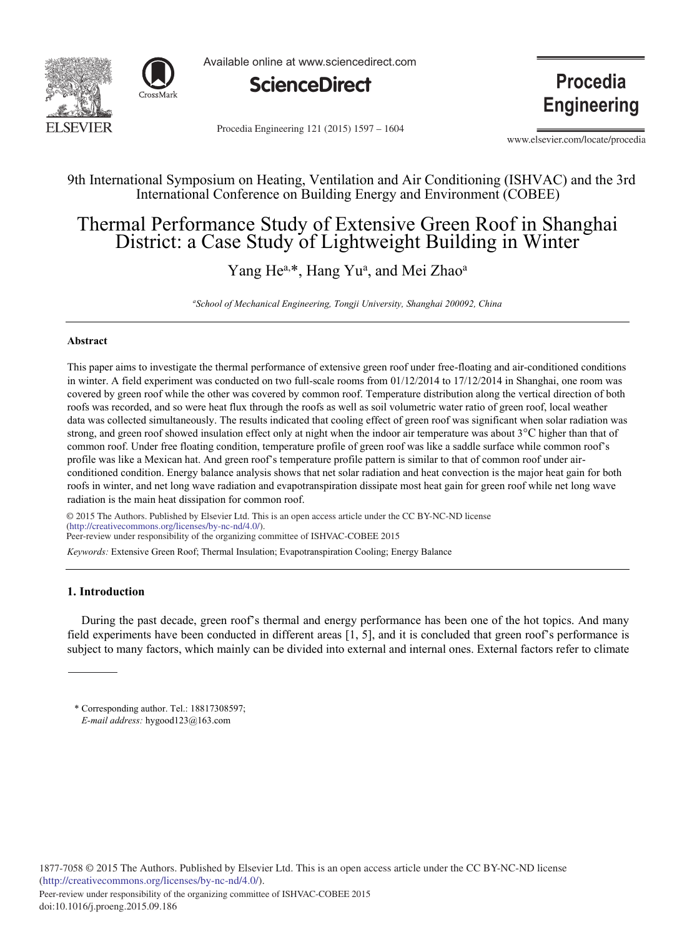



Available online at www.sciencedirect.com



Procedia Engineering 121 (2015) 1597 - 1604

**Procedia Engineering** 

www.elsevier.com/locate/procedia

### 9th International Symposium on Heating, Ventilation and Air Conditioning (ISHVAC) and the 3rd International Conference on Building Energy and Environment (COBEE)

## Thermal Performance Study of Extensive Green Roof in Shanghai District: a Case Study of Lightweight Building in Winter

## Yang He<sup>a,\*</sup>, Hang Yu<sup>a</sup>, and Mei Zhao<sup>a</sup>

*a School of Mechanical Engineering, Tongji University, Shanghai 200092, China*

#### **Abstract**

This paper aims to investigate the thermal performance of extensive green roof under free-floating and air-conditioned conditions in winter. A field experiment was conducted on two full-scale rooms from 01/12/2014 to 17/12/2014 in Shanghai, one room was covered by green roof while the other was covered by common roof. Temperature distribution along the vertical direction of both roofs was recorded, and so were heat flux through the roofs as well as soil volumetric water ratio of green roof, local weather data was collected simultaneously. The results indicated that cooling effect of green roof was significant when solar radiation was strong, and green roof showed insulation effect only at night when the indoor air temperature was about 3°C higher than that of common roof. Under free floating condition, temperature profile of green roof was like a saddle surface while common roof's profile was like a Mexican hat. And green roof's temperature profile pattern is similar to that of common roof under airconditioned condition. Energy balance analysis shows that net solar radiation and heat convection is the major heat gain for both roofs in winter, and net long wave radiation and evapotranspiration dissipate most heat gain for green roof while net long wave radiation is the main heat dissipation for common roof.

© 2015 The Authors. Published by Elsevier Ltd. © 2015 The Authors. Published by Elsevier Ltd. This is an open access article under the CC BY-NC-ND license (http://creativecommons.org/licenses/by-nc-nd/4.0/). *Keywords:* Extensive Green Roof; Thermal Insulation; Evapotranspiration Cooling; Energy Balance Peer-review under responsibility of the organizing committee of ISHVAC-COBEE 2015

#### **1. Introduction**

During the past decade, green roof's thermal and energy performance has been one of the hot topics. And many field experiments have been conducted in different areas [1, 5], and it is concluded that green roof's performance is subject to many factors, which mainly can be divided into external and internal ones. External factors refer to climate

\* Corresponding author. Tel.: 18817308597; *E-mail address:* hygood123@163.com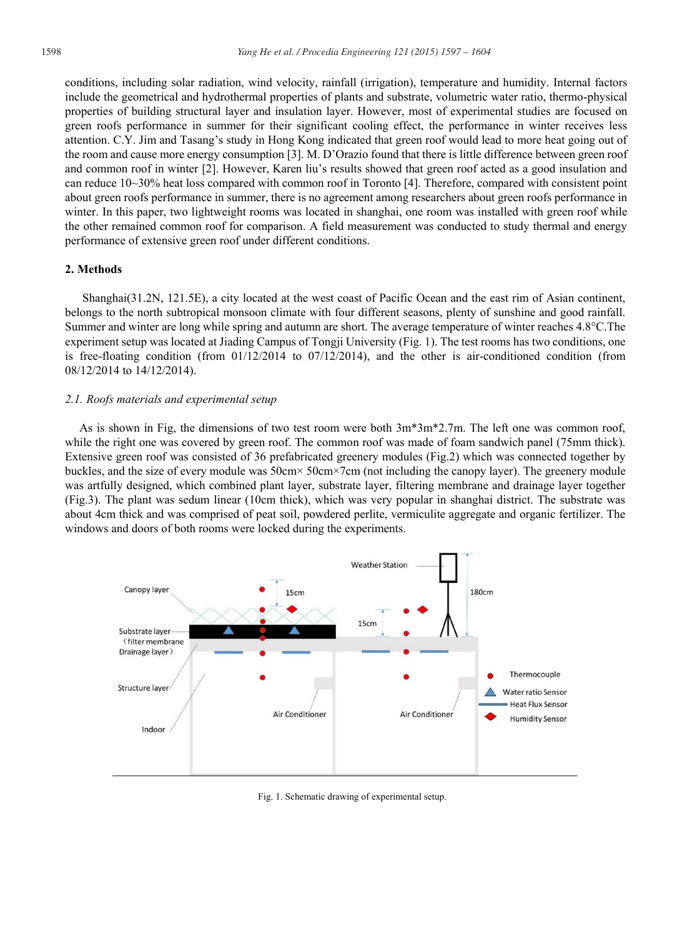conditions, including solar radiation, wind velocity, rainfall (irrigation), temperature and humidity. Internal factors include the geometrical and hydrothermal properties of plants and substrate, volumetric water ratio, thermo-physical properties of building structural layer and insulation layer. However, most of experimental studies are focused on green roofs performance in summer for their significant cooling effect, the performance in winter receives less attention. C.Y. Jim and Tasang's study in Hong Kong indicated that green roof would lead to more heat going out of the room and cause more energy consumption [3]. M. D'Orazio found that there is little difference between green roof and common roof in winter [2]. However, Karen liu's results showed that green roof acted as a good insulation and can reduce 10~30% heat loss compared with common roof in Toronto [4]. Therefore, compared with consistent point about green roofs performance in summer, there is no agreement among researchers about green roofs performance in winter. In this paper, two lightweight rooms was located in shanghai, one room was installed with green roof while the other remained common roof for comparison. A field measurement was conducted to study thermal and energy performance of extensive green roof under different conditions.

#### **2. Methods**

Shanghai(31.2N, 121.5E), a city located at the west coast of Pacific Ocean and the east rim of Asian continent, belongs to the north subtropical monsoon climate with four different seasons, plenty of sunshine and good rainfall. Summer and winter are long while spring and autumn are short. The average temperature of winter reaches 4.8°C.The experiment setup was located at Jiading Campus of Tongji University (Fig. 1). The test rooms has two conditions, one is free-floating condition (from  $01/12/2014$  to  $07/12/2014$ ), and the other is air-conditioned condition (from 08/12/2014 to 14/12/2014).

#### *2.1. Roofs materials and experimental setup*

As is shown in Fig, the dimensions of two test room were both 3m\*3m\*2.7m. The left one was common roof, while the right one was covered by green roof. The common roof was made of foam sandwich panel (75mm thick). Extensive green roof was consisted of 36 prefabricated greenery modules (Fig.2) which was connected together by buckles, and the size of every module was 50cm× 50cm×7cm (not including the canopy layer). The greenery module was artfully designed, which combined plant layer, substrate layer, filtering membrane and drainage layer together (Fig.3). The plant was sedum linear (10cm thick), which was very popular in shanghai district. The substrate was about 4cm thick and was comprised of peat soil, powdered perlite, vermiculite aggregate and organic fertilizer. The windows and doors of both rooms were locked during the experiments.



Fig. 1. Schematic drawing of experimental setup.